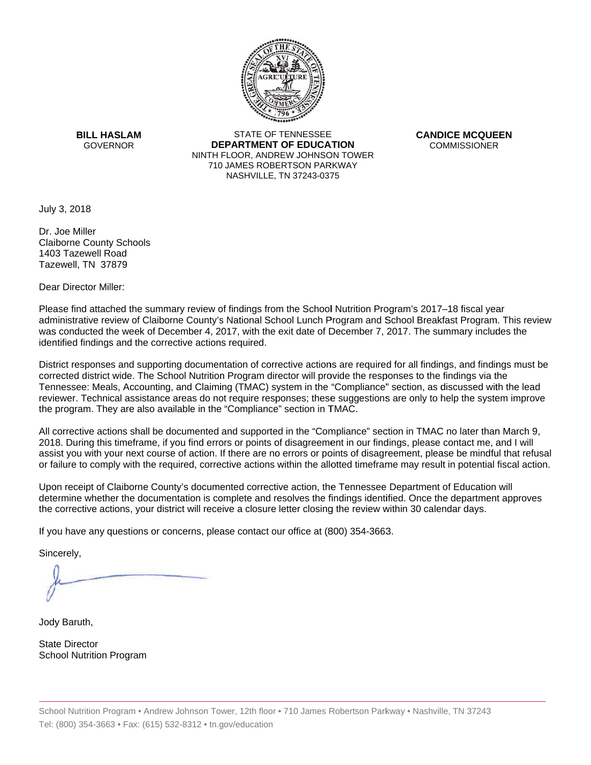

**BILL HASLAM** GOVERNOR **DEI** 

STATE OF TENNESSEE **EPARTMENT OF EDUCATION** NINTH FLOOR, ANDREW JOHNSON TOWER 710 JAMES ROBERTSON PARKWAY NASHVILLE,TN 37243-0375

**CANDICE MCQUEEN** CO OMMISSIONER

July 3, 2018

Dr. Joe Miller Claiborne County Schools 1403 Tazewell Road Tazewell, TN 37879

Dear Director Miller:

Please find attached the summary review of findings from the School Nutrition Program's 2017–18 fiscal year administrative review of Claiborne County's National School Lunch Program and School Breakfast Program. This review was conducted the week of December 4, 2017, with the exit date of December 7, 2017. The summary includes the identified findings and the corrective actions required.

Tennessee: Meals, Accounting, and Claiming (TMAC) system in the "Compliance" section, as discussed with the lead District responses and supporting documentation of corrective actions are required for all findings, and findings must be corrected district wide. The School Nutrition Program director will provide the responses to the findings via the reviewer. Technical assistance areas do not require responses; these suggestions are only to help the system improve the program. They are also available in the "Compliance" section in TMAC.

All corrective actions shall be documented and supported in the "Compliance" section in TMAC no later than March 9, 2018. During this timeframe, if you find errors or points of disagreement in our findings, please contact me, and I will assist you with your next course of action. If there are no errors or points of disagreement, please be mindful that refusal or failure to comply with the required, corrective actions within the allotted timeframe may result in potential fiscal action.

Upon receipt of Claiborne County's documented corrective action, the Tennessee Department of Education will determine whether the documentation is complete and resolves the findings identified. Once the department approves the corrective actions, your district will receive a closure letter closing the review within 30 calendar days.

If you have any questions or concerns, please contact our office at (800) 354-3663.

Sincerely,

Jody Baruth,

State Director School Nutrition Program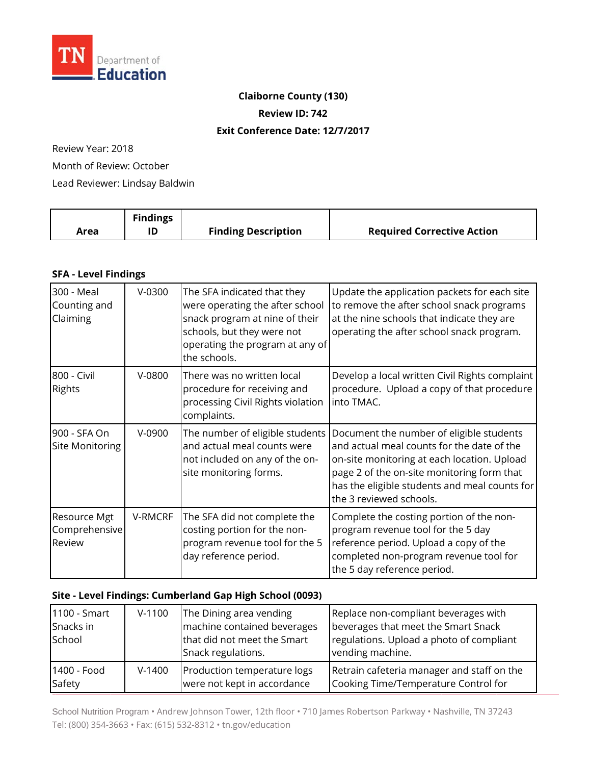

# **Claiborne County (130)**

**Review ID: 742**

#### **Exit Conference Date: 12/7/2017**

Review Year: 2018

Month of Review: October

Lead Reviewer: Lindsay Baldwin

|      | <b>Findings</b> |                            |                                   |
|------|-----------------|----------------------------|-----------------------------------|
| Area |                 | <b>Finding Description</b> | <b>Required Corrective Action</b> |

### **SFA - Level Findings**

| 300 - Meal<br>Counting and<br>Claiming  | $V-0300$ | The SFA indicated that they<br>were operating the after school<br>snack program at nine of their<br>schools, but they were not<br>operating the program at any of<br>the schools. | Update the application packets for each site<br>to remove the after school snack programs<br>at the nine schools that indicate they are<br>operating the after school snack program.                                                                            |
|-----------------------------------------|----------|-----------------------------------------------------------------------------------------------------------------------------------------------------------------------------------|-----------------------------------------------------------------------------------------------------------------------------------------------------------------------------------------------------------------------------------------------------------------|
| 800 - Civil<br><b>Rights</b>            | $V-0800$ | There was no written local<br>procedure for receiving and<br>processing Civil Rights violation<br>complaints.                                                                     | Develop a local written Civil Rights complaint<br>procedure. Upload a copy of that procedure<br>into TMAC.                                                                                                                                                      |
| 900 - SFA On<br>Site Monitoring         | V-0900   | The number of eligible students<br>and actual meal counts were<br>not included on any of the on-<br>site monitoring forms.                                                        | Document the number of eligible students<br>and actual meal counts for the date of the<br>on-site monitoring at each location. Upload<br>page 2 of the on-site monitoring form that<br>has the eligible students and meal counts for<br>the 3 reviewed schools. |
| Resource Mgt<br>Comprehensive<br>Review | V-RMCRF  | The SFA did not complete the<br>costing portion for the non-<br>program revenue tool for the 5<br>day reference period.                                                           | Complete the costing portion of the non-<br>program revenue tool for the 5 day<br>reference period. Upload a copy of the<br>completed non-program revenue tool for<br>the 5 day reference period.                                                               |

#### Site - Level Findings: Cumberland Gap High School (0093)

| 1100 - Smart<br>Snacks in<br>School | $V-1100$ | The Dining area vending<br>machine contained beverages<br>that did not meet the Smart<br>Snack regulations. | Replace non-compliant beverages with<br>beverages that meet the Smart Snack<br>regulations. Upload a photo of compliant<br>vending machine. |
|-------------------------------------|----------|-------------------------------------------------------------------------------------------------------------|---------------------------------------------------------------------------------------------------------------------------------------------|
| 1400 - Food                         | $V-1400$ | Production temperature logs                                                                                 | Retrain cafeteria manager and staff on the                                                                                                  |
| Safety                              |          | were not kept in accordance                                                                                 | Cooking Time/Temperature Control for                                                                                                        |

School Nutrition Program • Andrew Johnson Tower, 12th floor • 710 James Robertson Parkway • Nashville, TN 37243 Tel: (800) 354-3663 • Fax: (615) 532-8312 • tn.gov/education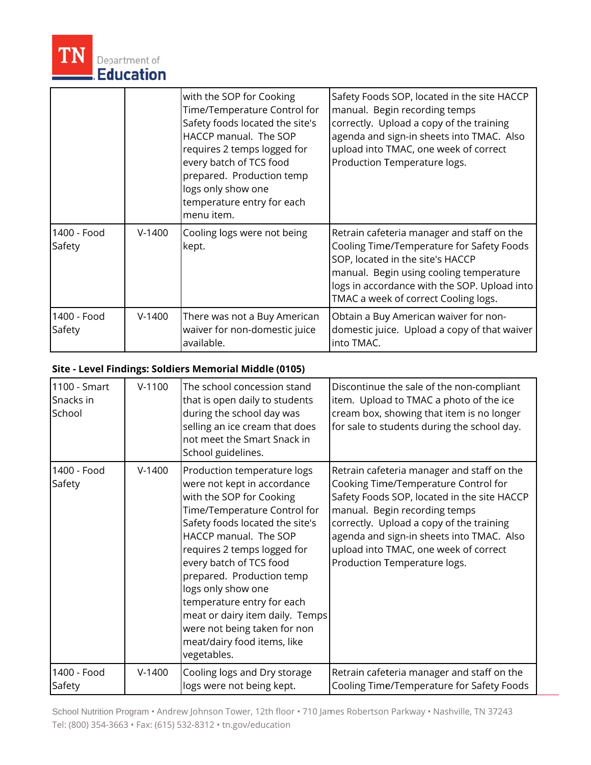

|                       |          | with the SOP for Cooking<br>Time/Temperature Control for<br>Safety foods located the site's<br>HACCP manual. The SOP<br>requires 2 temps logged for<br>every batch of TCS food<br>prepared. Production temp<br>logs only show one<br>temperature entry for each<br>menu item. | Safety Foods SOP, located in the site HACCP<br>manual. Begin recording temps<br>correctly. Upload a copy of the training<br>agenda and sign-in sheets into TMAC. Also<br>upload into TMAC, one week of correct<br>Production Temperature logs.                 |
|-----------------------|----------|-------------------------------------------------------------------------------------------------------------------------------------------------------------------------------------------------------------------------------------------------------------------------------|----------------------------------------------------------------------------------------------------------------------------------------------------------------------------------------------------------------------------------------------------------------|
| 1400 - Food<br>Safety | $V-1400$ | Cooling logs were not being<br>kept.                                                                                                                                                                                                                                          | Retrain cafeteria manager and staff on the<br>Cooling Time/Temperature for Safety Foods<br>SOP, located in the site's HACCP<br>manual. Begin using cooling temperature<br>logs in accordance with the SOP. Upload into<br>TMAC a week of correct Cooling logs. |
| 1400 - Food<br>Safety | $V-1400$ | There was not a Buy American<br>waiver for non-domestic juice<br>available.                                                                                                                                                                                                   | Obtain a Buy American waiver for non-<br>domestic juice. Upload a copy of that waiver<br>into TMAC.                                                                                                                                                            |

## **Site - Level Findings: Sol diers Memorial Middle (0105)**

| 1100 - Smart<br>Snacks in<br>School | $V-1100$ | The school concession stand<br>that is open daily to students<br>during the school day was<br>selling an ice cream that does<br>not meet the Smart Snack in<br>School guidelines.                                                                                                                                                                                                                                                              | Discontinue the sale of the non-compliant<br>item. Upload to TMAC a photo of the ice<br>cream box, showing that item is no longer<br>for sale to students during the school day.                                                                                                                                                     |
|-------------------------------------|----------|------------------------------------------------------------------------------------------------------------------------------------------------------------------------------------------------------------------------------------------------------------------------------------------------------------------------------------------------------------------------------------------------------------------------------------------------|--------------------------------------------------------------------------------------------------------------------------------------------------------------------------------------------------------------------------------------------------------------------------------------------------------------------------------------|
| 1400 - Food<br>Safety               | $V-1400$ | Production temperature logs<br>were not kept in accordance<br>with the SOP for Cooking<br>Time/Temperature Control for<br>Safety foods located the site's<br>HACCP manual. The SOP<br>requires 2 temps logged for<br>every batch of TCS food<br>prepared. Production temp<br>logs only show one<br>temperature entry for each<br>meat or dairy item daily. Temps<br>were not being taken for non<br>meat/dairy food items, like<br>vegetables. | Retrain cafeteria manager and staff on the<br>Cooking Time/Temperature Control for<br>Safety Foods SOP, located in the site HACCP<br>manual. Begin recording temps<br>correctly. Upload a copy of the training<br>agenda and sign-in sheets into TMAC. Also<br>upload into TMAC, one week of correct<br>Production Temperature logs. |
| 1400 - Food<br>Safety               | $V-1400$ | Cooling logs and Dry storage<br>logs were not being kept.                                                                                                                                                                                                                                                                                                                                                                                      | Retrain cafeteria manager and staff on the<br>Cooling Time/Temperature for Safety Foods                                                                                                                                                                                                                                              |